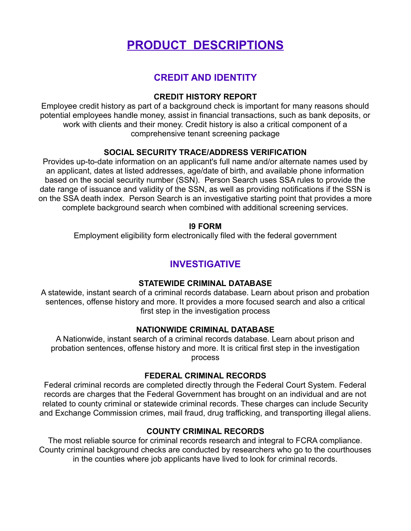# **PRODUCT DESCRIPTIONS**

# **CREDIT AND IDENTITY**

#### **CREDIT HISTORY REPORT**

Employee credit history as part of a background check is important for many reasons should potential employees handle money, assist in financial transactions, such as bank deposits, or work with clients and their money. Credit history is also a critical component of a comprehensive tenant screening package

## **SOCIAL SECURITY TRACE/ADDRESS VERIFICATION**

Provides up-to-date information on an applicant's full name and/or alternate names used by an applicant, dates at listed addresses, age/date of birth, and available phone information based on the social security number (SSN). Person Search uses SSA rules to provide the date range of issuance and validity of the SSN, as well as providing notifications if the SSN is on the SSA death index. Person Search is an investigative starting point that provides a more complete background search when combined with additional screening services.

#### **I9 FORM**

Employment eligibility form electronically filed with the federal government

# **INVESTIGATIVE**

#### **STATEWIDE CRIMINAL DATABASE**

A statewide, instant search of a criminal records database. Learn about prison and probation sentences, offense history and more. It provides a more focused search and also a critical first step in the investigation process

#### **NATIONWIDE CRIMINAL DATABASE**

A Nationwide, instant search of a criminal records database. Learn about prison and probation sentences, offense history and more. It is critical first step in the investigation process

#### **FEDERAL CRIMINAL RECORDS**

Federal criminal records are completed directly through the Federal Court System. Federal records are charges that the Federal Government has brought on an individual and are not related to county criminal or statewide criminal records. These charges can include Security and Exchange Commission crimes, mail fraud, drug trafficking, and transporting illegal aliens.

#### **COUNTY CRIMINAL RECORDS**

The most reliable source for criminal records research and integral to FCRA compliance. County criminal background checks are conducted by researchers who go to the courthouses in the counties where job applicants have lived to look for criminal records.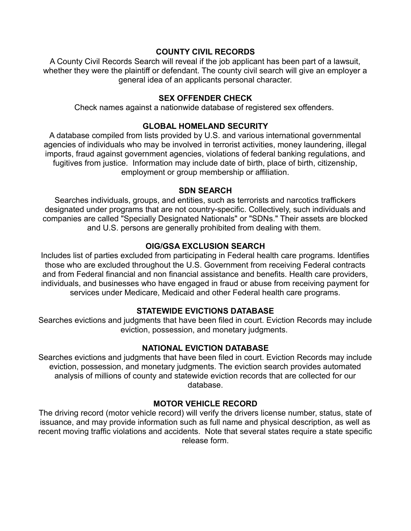#### **COUNTY CIVIL RECORDS**

A County Civil Records Search will reveal if the job applicant has been part of a lawsuit, whether they were the plaintiff or defendant. The county civil search will give an employer a general idea of an applicants personal character.

#### **SEX OFFENDER CHECK**

Check names against a nationwide database of registered sex offenders.

# **GLOBAL HOMELAND SECURITY**

A database compiled from lists provided by U.S. and various international governmental agencies of individuals who may be involved in terrorist activities, money laundering, illegal imports, fraud against government agencies, violations of federal banking regulations, and fugitives from justice. Information may include date of birth, place of birth, citizenship, employment or group membership or affiliation.

#### **SDN SEARCH**

Searches individuals, groups, and entities, such as terrorists and narcotics traffickers designated under programs that are not country-specific. Collectively, such individuals and companies are called "Specially Designated Nationals" or "SDNs." Their assets are blocked and U.S. persons are generally prohibited from dealing with them.

# **OIG/GSA EXCLUSION SEARCH**

Includes list of parties excluded from participating in Federal health care programs. Identifies those who are excluded throughout the U.S. Government from receiving Federal contracts and from Federal financial and non financial assistance and benefits. Health care providers, individuals, and businesses who have engaged in fraud or abuse from receiving payment for services under Medicare, Medicaid and other Federal health care programs.

# **STATEWIDE EVICTIONS DATABASE**

Searches evictions and judgments that have been filed in court. Eviction Records may include eviction, possession, and monetary judgments.

# **NATIONAL EVICTION DATABASE**

Searches evictions and judgments that have been filed in court. Eviction Records may include eviction, possession, and monetary judgments. The eviction search provides automated analysis of millions of county and statewide eviction records that are collected for our database.

# **MOTOR VEHICLE RECORD**

The driving record (motor vehicle record) will verify the drivers license number, status, state of issuance, and may provide information such as full name and physical description, as well as recent moving traffic violations and accidents. Note that several states require a state specific release form.